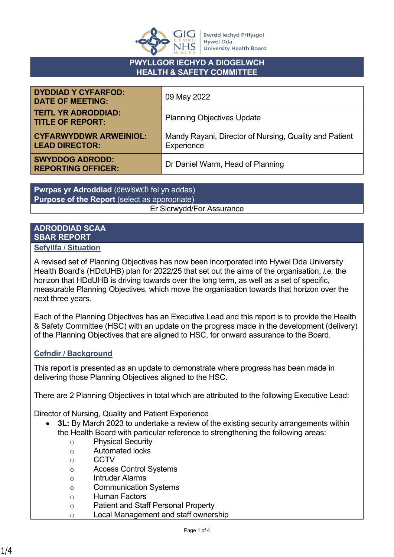

## **PWYLLGOR IECHYD A DIOGELWCH HEALTH & SAFETY COMMITTEE**

| <b>DYDDIAD Y CYFARFOD:</b><br><b>DATE OF MEETING:</b>  | 09 May 2022                                                          |
|--------------------------------------------------------|----------------------------------------------------------------------|
| <b>TEITL YR ADRODDIAD:</b><br><b>TITLE OF REPORT:</b>  | <b>Planning Objectives Update</b>                                    |
| <b>CYFARWYDDWR ARWEINIOL:</b><br><b>LEAD DIRECTOR:</b> | Mandy Rayani, Director of Nursing, Quality and Patient<br>Experience |
| <b>SWYDDOG ADRODD:</b><br><b>REPORTING OFFICER:</b>    | Dr Daniel Warm, Head of Planning                                     |

**Pwrpas yr Adroddiad** (dewiswch fel yn addas) **Purpose of the Report** (select as appropriate) Er Sicrwydd/For Assurance

#### **ADRODDIAD SCAA SBAR REPORT Sefyllfa / Situation**

next three years.

# A revised set of Planning Objectives has now been incorporated into Hywel Dda University Health Board's (HDdUHB) plan for 2022/25 that set out the aims of the organisation, *i.e.* the horizon that HDdUHB is driving towards over the long term, as well as a set of specific, measurable Planning Objectives, which move the organisation towards that horizon over the

Each of the Planning Objectives has an Executive Lead and this report is to provide the Health & Safety Committee (HSC) with an update on the progress made in the development (delivery) of the Planning Objectives that are aligned to HSC, for onward assurance to the Board.

## **Cefndir / Background**

This report is presented as an update to demonstrate where progress has been made in delivering those Planning Objectives aligned to the HSC.

There are 2 Planning Objectives in total which are attributed to the following Executive Lead:

Director of Nursing, Quality and Patient Experience

- **3L:** By March 2023 to undertake a review of the existing security arrangements within the Health Board with particular reference to strengthening the following areas:
	- o Physical Security
	- o Automated locks
	- o CCTV
	- o Access Control Systems
	- o Intruder Alarms
	- o Communication Systems
	- o Human Factors
	- o Patient and Staff Personal Property
	- o Local Management and staff ownership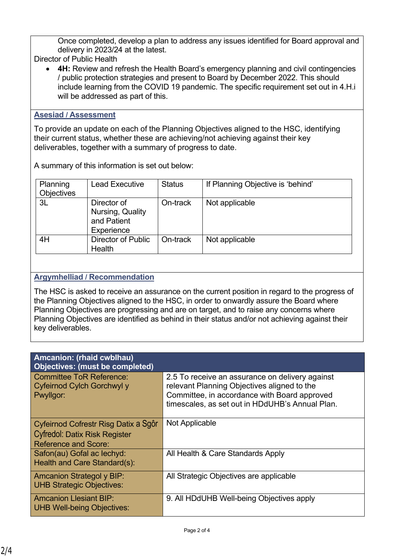Once completed, develop a plan to address any issues identified for Board approval and delivery in 2023/24 at the latest.

Director of Public Health

• **4H:** Review and refresh the Health Board's emergency planning and civil contingencies / public protection strategies and present to Board by December 2022. This should include learning from the COVID 19 pandemic. The specific requirement set out in 4.H.i will be addressed as part of this.

#### **Asesiad / Assessment**

To provide an update on each of the Planning Objectives aligned to the HSC, identifying their current status, whether these are achieving/not achieving against their key deliverables, together with a summary of progress to date.

A summary of this information is set out below:

| Planning<br><b>Objectives</b> | <b>Lead Executive</b>                                        | <b>Status</b> | If Planning Objective is 'behind' |
|-------------------------------|--------------------------------------------------------------|---------------|-----------------------------------|
| 3L                            | Director of<br>Nursing, Quality<br>and Patient<br>Experience | On-track      | Not applicable                    |
| 4H                            | <b>Director of Public</b><br>Health                          | On-track      | Not applicable                    |

## **Argymhelliad / Recommendation**

The HSC is asked to receive an assurance on the current position in regard to the progress of the Planning Objectives aligned to the HSC, in order to onwardly assure the Board where Planning Objectives are progressing and are on target, and to raise any concerns where Planning Objectives are identified as behind in their status and/or not achieving against their key deliverables.

| <b>Amcanion: (rhaid cwblhau)</b><br><b>Objectives: (must be completed)</b> |                                                                                                                                                                                                   |
|----------------------------------------------------------------------------|---------------------------------------------------------------------------------------------------------------------------------------------------------------------------------------------------|
| <b>Committee ToR Reference:</b><br>Cyfeirnod Cylch Gorchwyl y<br>Pwyllgor: | 2.5 To receive an assurance on delivery against<br>relevant Planning Objectives aligned to the<br>Committee, in accordance with Board approved<br>timescales, as set out in HDdUHB's Annual Plan. |
| Cyfeirnod Cofrestr Risg Datix a Sgôr                                       | Not Applicable                                                                                                                                                                                    |
| <b>Cyfredol: Datix Risk Register</b><br><b>Reference and Score:</b>        |                                                                                                                                                                                                   |
| Safon(au) Gofal ac lechyd:<br>Health and Care Standard(s):                 | All Health & Care Standards Apply                                                                                                                                                                 |
| <b>Amcanion Strategol y BIP:</b><br><b>UHB Strategic Objectives:</b>       | All Strategic Objectives are applicable                                                                                                                                                           |
| <b>Amcanion Llesiant BIP:</b><br><b>UHB Well-being Objectives:</b>         | 9. All HDdUHB Well-being Objectives apply                                                                                                                                                         |

Choose an item.